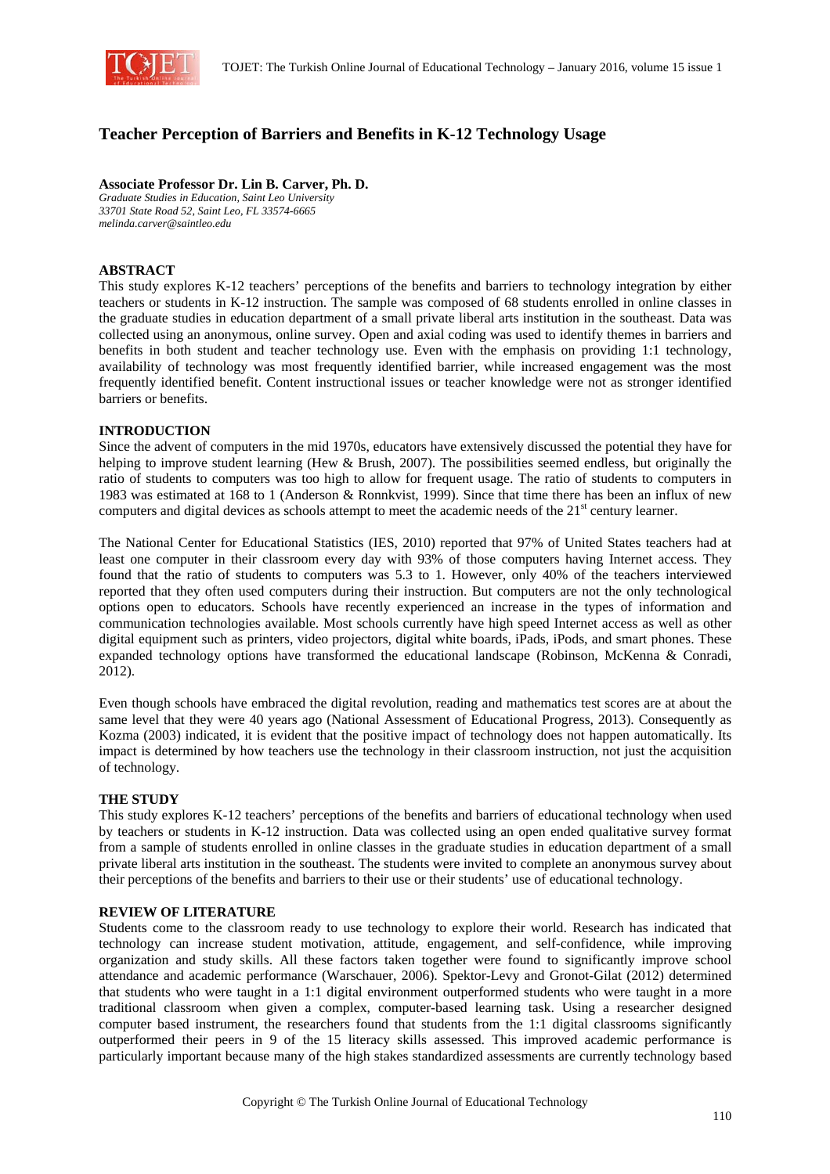

# **Teacher Perception of Barriers and Benefits in K-12 Technology Usage**

## **Associate Professor Dr. Lin B. Carver, Ph. D.**

*Graduate Studies in Education, Saint Leo University 33701 State Road 52, Saint Leo, FL 33574-6665 melinda.carver@saintleo.edu* 

# **ABSTRACT**

This study explores K-12 teachers' perceptions of the benefits and barriers to technology integration by either teachers or students in K-12 instruction. The sample was composed of 68 students enrolled in online classes in the graduate studies in education department of a small private liberal arts institution in the southeast. Data was collected using an anonymous, online survey. Open and axial coding was used to identify themes in barriers and benefits in both student and teacher technology use. Even with the emphasis on providing 1:1 technology, availability of technology was most frequently identified barrier, while increased engagement was the most frequently identified benefit. Content instructional issues or teacher knowledge were not as stronger identified barriers or benefits.

## **INTRODUCTION**

Since the advent of computers in the mid 1970s, educators have extensively discussed the potential they have for helping to improve student learning (Hew & Brush, 2007). The possibilities seemed endless, but originally the ratio of students to computers was too high to allow for frequent usage. The ratio of students to computers in 1983 was estimated at 168 to 1 (Anderson & Ronnkvist, 1999). Since that time there has been an influx of new computers and digital devices as schools attempt to meet the academic needs of the 21<sup>st</sup> century learner.

The National Center for Educational Statistics (IES, 2010) reported that 97% of United States teachers had at least one computer in their classroom every day with 93% of those computers having Internet access. They found that the ratio of students to computers was 5.3 to 1. However, only 40% of the teachers interviewed reported that they often used computers during their instruction. But computers are not the only technological options open to educators. Schools have recently experienced an increase in the types of information and communication technologies available. Most schools currently have high speed Internet access as well as other digital equipment such as printers, video projectors, digital white boards, iPads, iPods, and smart phones. These expanded technology options have transformed the educational landscape (Robinson, McKenna & Conradi, 2012).

Even though schools have embraced the digital revolution, reading and mathematics test scores are at about the same level that they were 40 years ago (National Assessment of Educational Progress, 2013). Consequently as Kozma (2003) indicated, it is evident that the positive impact of technology does not happen automatically. Its impact is determined by how teachers use the technology in their classroom instruction, not just the acquisition of technology.

## **THE STUDY**

This study explores K-12 teachers' perceptions of the benefits and barriers of educational technology when used by teachers or students in K-12 instruction. Data was collected using an open ended qualitative survey format from a sample of students enrolled in online classes in the graduate studies in education department of a small private liberal arts institution in the southeast. The students were invited to complete an anonymous survey about their perceptions of the benefits and barriers to their use or their students' use of educational technology.

#### **REVIEW OF LITERATURE**

Students come to the classroom ready to use technology to explore their world. Research has indicated that technology can increase student motivation, attitude, engagement, and self-confidence, while improving organization and study skills. All these factors taken together were found to significantly improve school attendance and academic performance (Warschauer, 2006). Spektor-Levy and Gronot-Gilat (2012) determined that students who were taught in a 1:1 digital environment outperformed students who were taught in a more traditional classroom when given a complex, computer-based learning task. Using a researcher designed computer based instrument, the researchers found that students from the 1:1 digital classrooms significantly outperformed their peers in 9 of the 15 literacy skills assessed. This improved academic performance is particularly important because many of the high stakes standardized assessments are currently technology based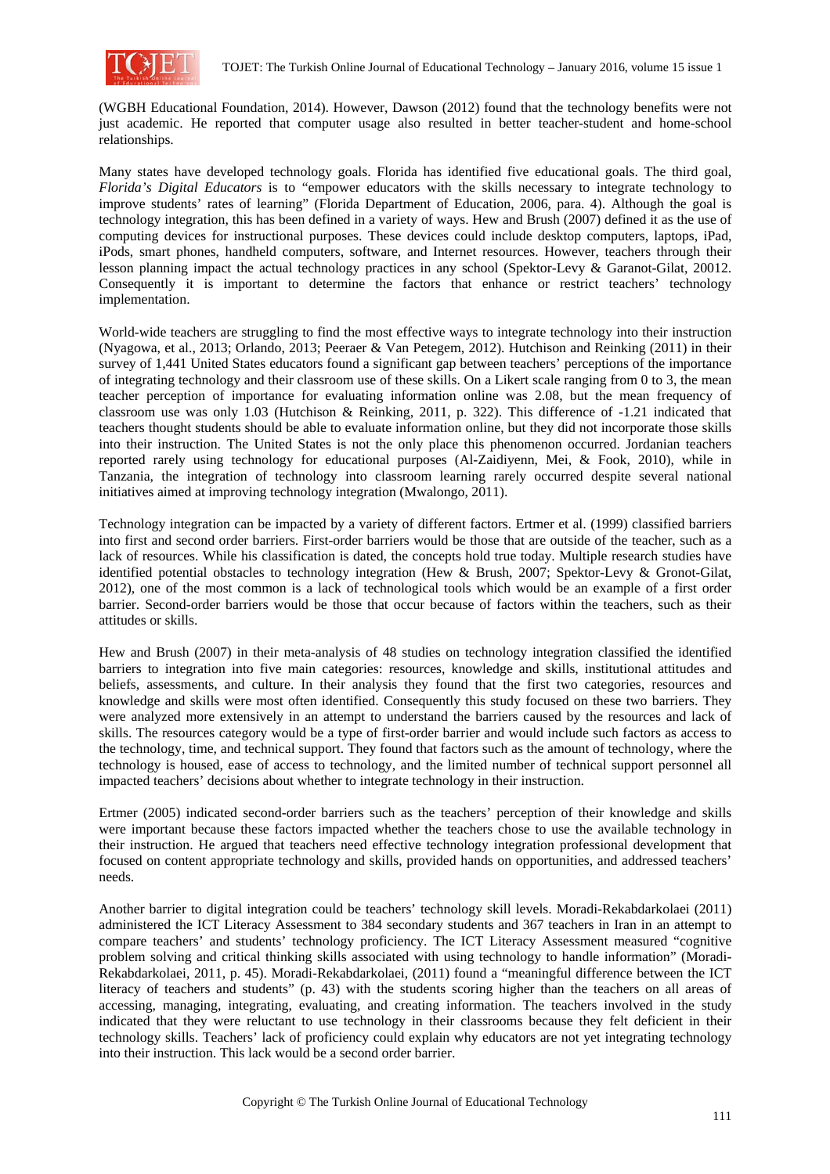

(WGBH Educational Foundation, 2014). However, Dawson (2012) found that the technology benefits were not just academic. He reported that computer usage also resulted in better teacher-student and home-school relationships.

Many states have developed technology goals. Florida has identified five educational goals. The third goal, *Florida's Digital Educators* is to "empower educators with the skills necessary to integrate technology to improve students' rates of learning" (Florida Department of Education, 2006, para. 4). Although the goal is technology integration, this has been defined in a variety of ways. Hew and Brush (2007) defined it as the use of computing devices for instructional purposes. These devices could include desktop computers, laptops, iPad, iPods, smart phones, handheld computers, software, and Internet resources. However, teachers through their lesson planning impact the actual technology practices in any school (Spektor-Levy & Garanot-Gilat, 20012. Consequently it is important to determine the factors that enhance or restrict teachers' technology implementation.

World-wide teachers are struggling to find the most effective ways to integrate technology into their instruction (Nyagowa, et al., 2013; Orlando, 2013; Peeraer & Van Petegem, 2012). Hutchison and Reinking (2011) in their survey of 1,441 United States educators found a significant gap between teachers' perceptions of the importance of integrating technology and their classroom use of these skills. On a Likert scale ranging from 0 to 3, the mean teacher perception of importance for evaluating information online was 2.08, but the mean frequency of classroom use was only 1.03 (Hutchison & Reinking, 2011, p. 322). This difference of -1.21 indicated that teachers thought students should be able to evaluate information online, but they did not incorporate those skills into their instruction. The United States is not the only place this phenomenon occurred. Jordanian teachers reported rarely using technology for educational purposes (Al-Zaidiyenn, Mei, & Fook, 2010), while in Tanzania, the integration of technology into classroom learning rarely occurred despite several national initiatives aimed at improving technology integration (Mwalongo, 2011).

Technology integration can be impacted by a variety of different factors. Ertmer et al. (1999) classified barriers into first and second order barriers. First-order barriers would be those that are outside of the teacher, such as a lack of resources. While his classification is dated, the concepts hold true today. Multiple research studies have identified potential obstacles to technology integration (Hew & Brush, 2007; Spektor-Levy & Gronot-Gilat, 2012), one of the most common is a lack of technological tools which would be an example of a first order barrier. Second-order barriers would be those that occur because of factors within the teachers, such as their attitudes or skills.

Hew and Brush (2007) in their meta-analysis of 48 studies on technology integration classified the identified barriers to integration into five main categories: resources, knowledge and skills, institutional attitudes and beliefs, assessments, and culture. In their analysis they found that the first two categories, resources and knowledge and skills were most often identified. Consequently this study focused on these two barriers. They were analyzed more extensively in an attempt to understand the barriers caused by the resources and lack of skills. The resources category would be a type of first-order barrier and would include such factors as access to the technology, time, and technical support. They found that factors such as the amount of technology, where the technology is housed, ease of access to technology, and the limited number of technical support personnel all impacted teachers' decisions about whether to integrate technology in their instruction.

Ertmer (2005) indicated second-order barriers such as the teachers' perception of their knowledge and skills were important because these factors impacted whether the teachers chose to use the available technology in their instruction. He argued that teachers need effective technology integration professional development that focused on content appropriate technology and skills, provided hands on opportunities, and addressed teachers' needs.

Another barrier to digital integration could be teachers' technology skill levels. Moradi-Rekabdarkolaei (2011) administered the ICT Literacy Assessment to 384 secondary students and 367 teachers in Iran in an attempt to compare teachers' and students' technology proficiency. The ICT Literacy Assessment measured "cognitive problem solving and critical thinking skills associated with using technology to handle information" (Moradi-Rekabdarkolaei, 2011, p. 45). Moradi-Rekabdarkolaei, (2011) found a "meaningful difference between the ICT literacy of teachers and students" (p. 43) with the students scoring higher than the teachers on all areas of accessing, managing, integrating, evaluating, and creating information. The teachers involved in the study indicated that they were reluctant to use technology in their classrooms because they felt deficient in their technology skills. Teachers' lack of proficiency could explain why educators are not yet integrating technology into their instruction. This lack would be a second order barrier.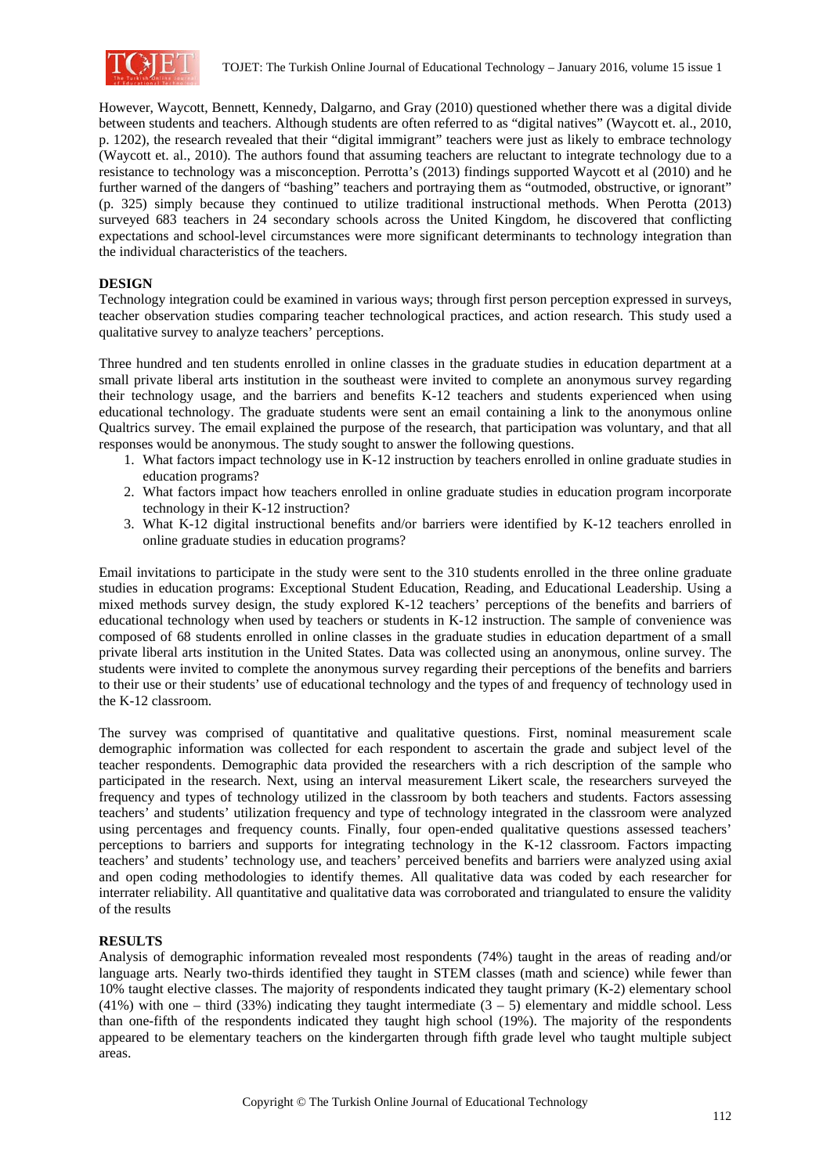

However, Waycott, Bennett, Kennedy, Dalgarno, and Gray (2010) questioned whether there was a digital divide between students and teachers. Although students are often referred to as "digital natives" (Waycott et. al., 2010, p. 1202), the research revealed that their "digital immigrant" teachers were just as likely to embrace technology (Waycott et. al., 2010). The authors found that assuming teachers are reluctant to integrate technology due to a resistance to technology was a misconception. Perrotta's (2013) findings supported Waycott et al (2010) and he further warned of the dangers of "bashing" teachers and portraying them as "outmoded, obstructive, or ignorant" (p. 325) simply because they continued to utilize traditional instructional methods. When Perotta (2013) surveyed 683 teachers in 24 secondary schools across the United Kingdom, he discovered that conflicting expectations and school-level circumstances were more significant determinants to technology integration than the individual characteristics of the teachers.

## **DESIGN**

Technology integration could be examined in various ways; through first person perception expressed in surveys, teacher observation studies comparing teacher technological practices, and action research. This study used a qualitative survey to analyze teachers' perceptions.

Three hundred and ten students enrolled in online classes in the graduate studies in education department at a small private liberal arts institution in the southeast were invited to complete an anonymous survey regarding their technology usage, and the barriers and benefits K-12 teachers and students experienced when using educational technology. The graduate students were sent an email containing a link to the anonymous online Qualtrics survey. The email explained the purpose of the research, that participation was voluntary, and that all responses would be anonymous. The study sought to answer the following questions.

- 1. What factors impact technology use in K-12 instruction by teachers enrolled in online graduate studies in education programs?
- 2. What factors impact how teachers enrolled in online graduate studies in education program incorporate technology in their K-12 instruction?
- 3. What K-12 digital instructional benefits and/or barriers were identified by K-12 teachers enrolled in online graduate studies in education programs?

Email invitations to participate in the study were sent to the 310 students enrolled in the three online graduate studies in education programs: Exceptional Student Education, Reading, and Educational Leadership. Using a mixed methods survey design, the study explored K-12 teachers' perceptions of the benefits and barriers of educational technology when used by teachers or students in K-12 instruction. The sample of convenience was composed of 68 students enrolled in online classes in the graduate studies in education department of a small private liberal arts institution in the United States. Data was collected using an anonymous, online survey. The students were invited to complete the anonymous survey regarding their perceptions of the benefits and barriers to their use or their students' use of educational technology and the types of and frequency of technology used in the K-12 classroom.

The survey was comprised of quantitative and qualitative questions. First, nominal measurement scale demographic information was collected for each respondent to ascertain the grade and subject level of the teacher respondents. Demographic data provided the researchers with a rich description of the sample who participated in the research. Next, using an interval measurement Likert scale, the researchers surveyed the frequency and types of technology utilized in the classroom by both teachers and students. Factors assessing teachers' and students' utilization frequency and type of technology integrated in the classroom were analyzed using percentages and frequency counts. Finally, four open-ended qualitative questions assessed teachers' perceptions to barriers and supports for integrating technology in the K-12 classroom. Factors impacting teachers' and students' technology use, and teachers' perceived benefits and barriers were analyzed using axial and open coding methodologies to identify themes. All qualitative data was coded by each researcher for interrater reliability. All quantitative and qualitative data was corroborated and triangulated to ensure the validity of the results

## **RESULTS**

Analysis of demographic information revealed most respondents (74%) taught in the areas of reading and/or language arts. Nearly two-thirds identified they taught in STEM classes (math and science) while fewer than 10% taught elective classes. The majority of respondents indicated they taught primary (K-2) elementary school  $(41%)$  with one – third  $(33%)$  indicating they taught intermediate  $(3 - 5)$  elementary and middle school. Less than one-fifth of the respondents indicated they taught high school (19%). The majority of the respondents appeared to be elementary teachers on the kindergarten through fifth grade level who taught multiple subject areas.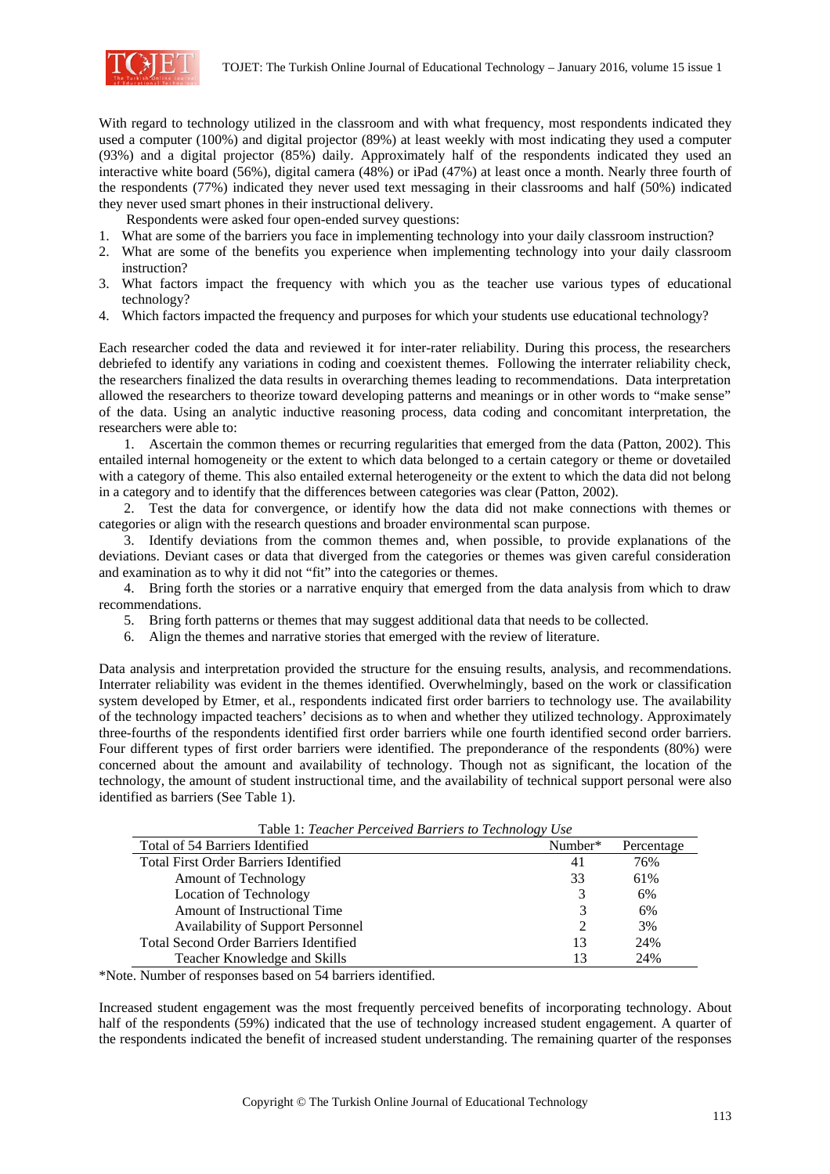

With regard to technology utilized in the classroom and with what frequency, most respondents indicated they used a computer (100%) and digital projector (89%) at least weekly with most indicating they used a computer (93%) and a digital projector (85%) daily. Approximately half of the respondents indicated they used an interactive white board (56%), digital camera (48%) or iPad (47%) at least once a month. Nearly three fourth of the respondents (77%) indicated they never used text messaging in their classrooms and half (50%) indicated they never used smart phones in their instructional delivery.

Respondents were asked four open-ended survey questions:

- 1. What are some of the barriers you face in implementing technology into your daily classroom instruction?
- 2. What are some of the benefits you experience when implementing technology into your daily classroom instruction?
- 3. What factors impact the frequency with which you as the teacher use various types of educational technology?
- 4. Which factors impacted the frequency and purposes for which your students use educational technology?

Each researcher coded the data and reviewed it for inter-rater reliability. During this process, the researchers debriefed to identify any variations in coding and coexistent themes. Following the interrater reliability check, the researchers finalized the data results in overarching themes leading to recommendations. Data interpretation allowed the researchers to theorize toward developing patterns and meanings or in other words to "make sense" of the data. Using an analytic inductive reasoning process, data coding and concomitant interpretation, the researchers were able to:

1. Ascertain the common themes or recurring regularities that emerged from the data (Patton, 2002). This entailed internal homogeneity or the extent to which data belonged to a certain category or theme or dovetailed with a category of theme. This also entailed external heterogeneity or the extent to which the data did not belong in a category and to identify that the differences between categories was clear (Patton, 2002).

2. Test the data for convergence, or identify how the data did not make connections with themes or categories or align with the research questions and broader environmental scan purpose.

3. Identify deviations from the common themes and, when possible, to provide explanations of the deviations. Deviant cases or data that diverged from the categories or themes was given careful consideration and examination as to why it did not "fit" into the categories or themes.

4. Bring forth the stories or a narrative enquiry that emerged from the data analysis from which to draw recommendations.

- 5. Bring forth patterns or themes that may suggest additional data that needs to be collected.
- 6. Align the themes and narrative stories that emerged with the review of literature.

Data analysis and interpretation provided the structure for the ensuing results, analysis, and recommendations. Interrater reliability was evident in the themes identified. Overwhelmingly, based on the work or classification system developed by Etmer, et al., respondents indicated first order barriers to technology use. The availability of the technology impacted teachers' decisions as to when and whether they utilized technology. Approximately three-fourths of the respondents identified first order barriers while one fourth identified second order barriers. Four different types of first order barriers were identified. The preponderance of the respondents (80%) were concerned about the amount and availability of technology. Though not as significant, the location of the technology, the amount of student instructional time, and the availability of technical support personal were also identified as barriers (See Table 1).

| Total of 54 Barriers Identified               | Number* | Percentage |
|-----------------------------------------------|---------|------------|
| <b>Total First Order Barriers Identified</b>  | 41      | 76%        |
| <b>Amount of Technology</b>                   | 33      | 61%        |
| Location of Technology                        |         | 6%         |
| <b>Amount of Instructional Time</b>           |         | 6%         |
| <b>Availability of Support Personnel</b>      |         | 3%         |
| <b>Total Second Order Barriers Identified</b> | 13      | 24%        |
| Teacher Knowledge and Skills                  | 13      | 24%        |

Table 1: *Teacher Perceived Barriers to Technology Use* 

\*Note. Number of responses based on 54 barriers identified.

Increased student engagement was the most frequently perceived benefits of incorporating technology. About half of the respondents (59%) indicated that the use of technology increased student engagement. A quarter of the respondents indicated the benefit of increased student understanding. The remaining quarter of the responses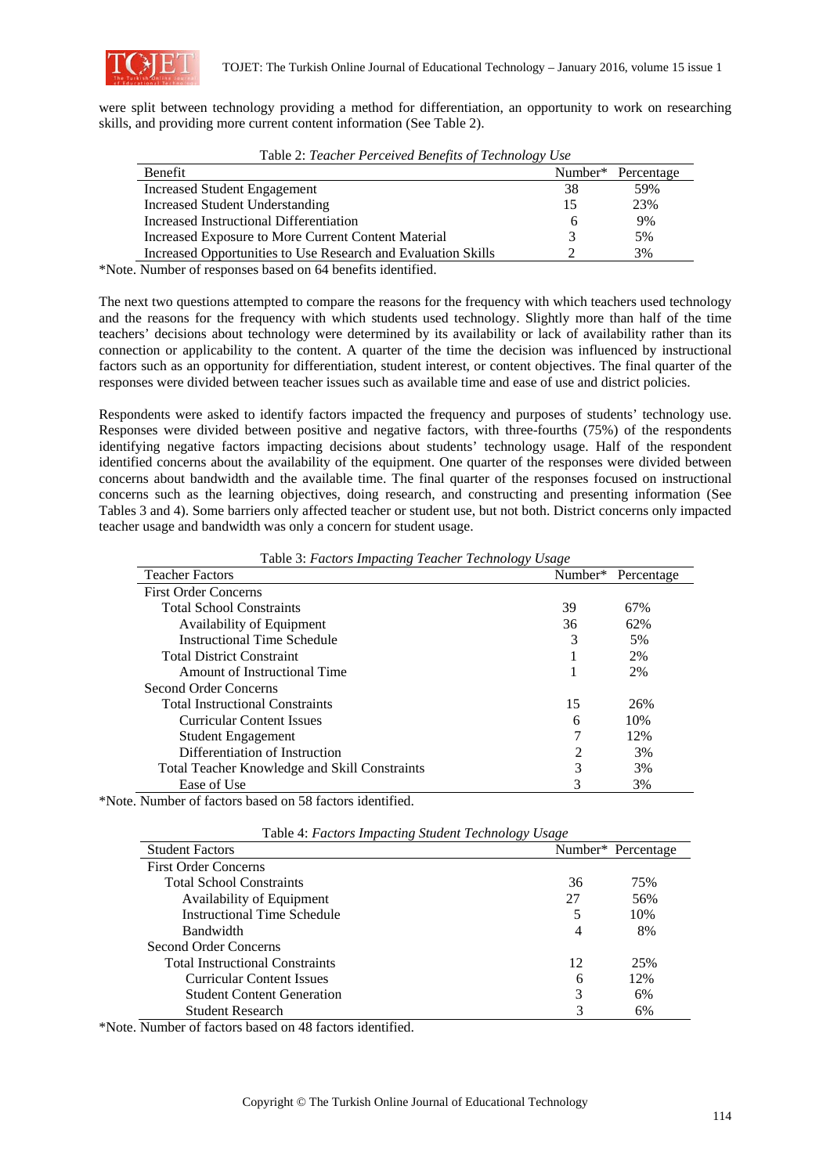

were split between technology providing a method for differentiation, an opportunity to work on researching skills, and providing more current content information (See Table 2).

| Tuble 2. Teacher I creened Benefits of Technology Osc         |    |                                |  |
|---------------------------------------------------------------|----|--------------------------------|--|
| Benefit                                                       |    | Number <sup>*</sup> Percentage |  |
| <b>Increased Student Engagement</b>                           | 38 | 59%                            |  |
| <b>Increased Student Understanding</b>                        | 15 | 23%                            |  |
| Increased Instructional Differentiation                       |    | 9%                             |  |
| Increased Exposure to More Current Content Material           |    | 5%                             |  |
| Increased Opportunities to Use Research and Evaluation Skills |    | 3%                             |  |
|                                                               |    |                                |  |

Table 2: *Teacher Perceived Benefits of Technology Use* 

\*Note. Number of responses based on 64 benefits identified.

The next two questions attempted to compare the reasons for the frequency with which teachers used technology and the reasons for the frequency with which students used technology. Slightly more than half of the time teachers' decisions about technology were determined by its availability or lack of availability rather than its connection or applicability to the content. A quarter of the time the decision was influenced by instructional factors such as an opportunity for differentiation, student interest, or content objectives. The final quarter of the responses were divided between teacher issues such as available time and ease of use and district policies.

Respondents were asked to identify factors impacted the frequency and purposes of students' technology use. Responses were divided between positive and negative factors, with three-fourths (75%) of the respondents identifying negative factors impacting decisions about students' technology usage. Half of the respondent identified concerns about the availability of the equipment. One quarter of the responses were divided between concerns about bandwidth and the available time. The final quarter of the responses focused on instructional concerns such as the learning objectives, doing research, and constructing and presenting information (See Tables 3 and 4). Some barriers only affected teacher or student use, but not both. District concerns only impacted teacher usage and bandwidth was only a concern for student usage.

| <b>Teacher Factors</b>                        | Number* | Percentage |
|-----------------------------------------------|---------|------------|
| <b>First Order Concerns</b>                   |         |            |
| <b>Total School Constraints</b>               | 39      | 67%        |
| Availability of Equipment                     | 36      | 62%        |
| Instructional Time Schedule                   | 3       | 5%         |
| <b>Total District Constraint</b>              |         | 2%         |
| Amount of Instructional Time                  |         | 2%         |
| Second Order Concerns                         |         |            |
| <b>Total Instructional Constraints</b>        | 15      | 26%        |
| <b>Curricular Content Issues</b>              | 6       | 10%        |
| <b>Student Engagement</b>                     |         | 12%        |
| Differentiation of Instruction                | 2       | 3%         |
| Total Teacher Knowledge and Skill Constraints | 3       | 3%         |
| Ease of Use                                   | 3       | 3%         |

Table 3: *Factors Impacting Teacher Technology Usage* 

\*Note. Number of factors based on 58 factors identified.

| Table 4. Puttors imputting student rethnology Usuge |    |                                |  |
|-----------------------------------------------------|----|--------------------------------|--|
| <b>Student Factors</b>                              |    | Number <sup>*</sup> Percentage |  |
| <b>First Order Concerns</b>                         |    |                                |  |
| <b>Total School Constraints</b>                     | 36 | 75%                            |  |
| Availability of Equipment                           | 27 | 56%                            |  |
| <b>Instructional Time Schedule</b>                  | 5  | 10%                            |  |
| <b>Bandwidth</b>                                    | 4  | 8%                             |  |
| Second Order Concerns                               |    |                                |  |
| <b>Total Instructional Constraints</b>              | 12 | 25%                            |  |
| <b>Curricular Content Issues</b>                    | 6  | 12%                            |  |
| <b>Student Content Generation</b>                   | 3  | 6%                             |  |
| Student Research                                    | 3  | 6%                             |  |

|  |  |  |  | Table 4: Factors Impacting Student Technology Usage |  |
|--|--|--|--|-----------------------------------------------------|--|
|--|--|--|--|-----------------------------------------------------|--|

\*Note. Number of factors based on 48 factors identified.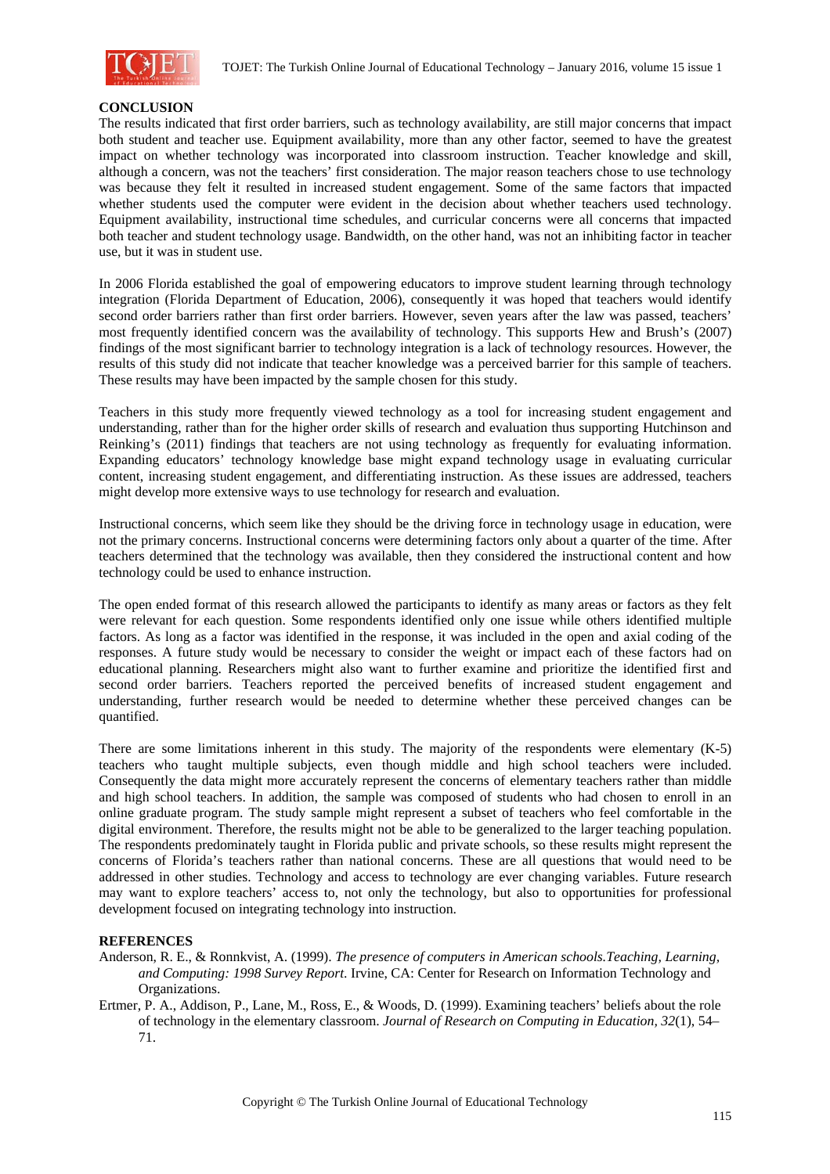

#### **CONCLUSION**

The results indicated that first order barriers, such as technology availability, are still major concerns that impact both student and teacher use. Equipment availability, more than any other factor, seemed to have the greatest impact on whether technology was incorporated into classroom instruction. Teacher knowledge and skill, although a concern, was not the teachers' first consideration. The major reason teachers chose to use technology was because they felt it resulted in increased student engagement. Some of the same factors that impacted whether students used the computer were evident in the decision about whether teachers used technology. Equipment availability, instructional time schedules, and curricular concerns were all concerns that impacted both teacher and student technology usage. Bandwidth, on the other hand, was not an inhibiting factor in teacher use, but it was in student use.

In 2006 Florida established the goal of empowering educators to improve student learning through technology integration (Florida Department of Education, 2006), consequently it was hoped that teachers would identify second order barriers rather than first order barriers. However, seven years after the law was passed, teachers' most frequently identified concern was the availability of technology. This supports Hew and Brush's (2007) findings of the most significant barrier to technology integration is a lack of technology resources. However, the results of this study did not indicate that teacher knowledge was a perceived barrier for this sample of teachers. These results may have been impacted by the sample chosen for this study.

Teachers in this study more frequently viewed technology as a tool for increasing student engagement and understanding, rather than for the higher order skills of research and evaluation thus supporting Hutchinson and Reinking's (2011) findings that teachers are not using technology as frequently for evaluating information. Expanding educators' technology knowledge base might expand technology usage in evaluating curricular content, increasing student engagement, and differentiating instruction. As these issues are addressed, teachers might develop more extensive ways to use technology for research and evaluation.

Instructional concerns, which seem like they should be the driving force in technology usage in education, were not the primary concerns. Instructional concerns were determining factors only about a quarter of the time. After teachers determined that the technology was available, then they considered the instructional content and how technology could be used to enhance instruction.

The open ended format of this research allowed the participants to identify as many areas or factors as they felt were relevant for each question. Some respondents identified only one issue while others identified multiple factors. As long as a factor was identified in the response, it was included in the open and axial coding of the responses. A future study would be necessary to consider the weight or impact each of these factors had on educational planning. Researchers might also want to further examine and prioritize the identified first and second order barriers. Teachers reported the perceived benefits of increased student engagement and understanding, further research would be needed to determine whether these perceived changes can be quantified.

There are some limitations inherent in this study. The majority of the respondents were elementary (K-5) teachers who taught multiple subjects, even though middle and high school teachers were included. Consequently the data might more accurately represent the concerns of elementary teachers rather than middle and high school teachers. In addition, the sample was composed of students who had chosen to enroll in an online graduate program. The study sample might represent a subset of teachers who feel comfortable in the digital environment. Therefore, the results might not be able to be generalized to the larger teaching population. The respondents predominately taught in Florida public and private schools, so these results might represent the concerns of Florida's teachers rather than national concerns. These are all questions that would need to be addressed in other studies. Technology and access to technology are ever changing variables. Future research may want to explore teachers' access to, not only the technology, but also to opportunities for professional development focused on integrating technology into instruction.

# **REFERENCES**

- Anderson, R. E., & Ronnkvist, A. (1999). *The presence of computers in American schools.Teaching, Learning, and Computing: 1998 Survey Report*. Irvine, CA: Center for Research on Information Technology and Organizations.
- Ertmer, P. A., Addison, P., Lane, M., Ross, E., & Woods, D. (1999). Examining teachers' beliefs about the role of technology in the elementary classroom. *Journal of Research on Computing in Education, 32*(1), 54– 71.